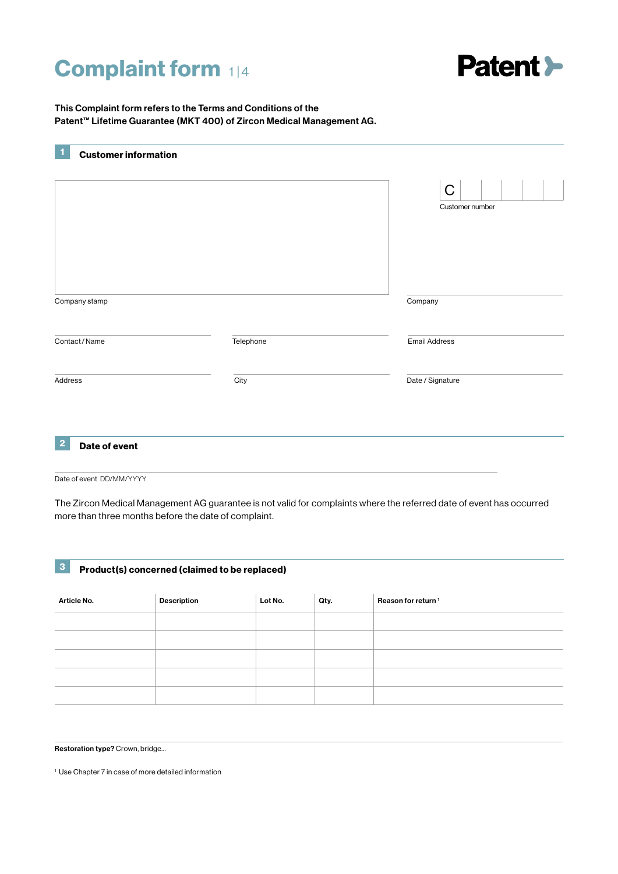# **Complaint form 114**



This Complaint form refers to the Terms and Conditions of the Patent™ Lifetime Guarantee (MKT 400) of Zircon Medical Management AG.

|                                          |           | $\mathsf C$<br>Customer number |
|------------------------------------------|-----------|--------------------------------|
| Company stamp                            |           | Company                        |
| Contact/Name                             | Telephone | <b>Email Address</b>           |
| Address                                  | City      | Date / Signature               |
| $\overline{\mathbf{2}}$<br>Date of event |           |                                |

Date of event DD/MM/YYYY

The Zircon Medical Management AG guarantee is not valid for complaints where the referred date of event has occurred more than three months before the date of complaint.

|  |  | Product(s) concerned (claimed to be replaced) |
|--|--|-----------------------------------------------|
|--|--|-----------------------------------------------|

| <b>Article No.</b> | <b>Description</b> | Lot No. | Qty. | Reason for return <sup>1</sup> |
|--------------------|--------------------|---------|------|--------------------------------|
|                    |                    |         |      |                                |
|                    |                    |         |      |                                |
|                    |                    |         |      |                                |
|                    |                    |         |      |                                |
|                    |                    |         |      |                                |

Restoration type? Crown, bridge…

1 Use Chapter 7 in case of more detailed information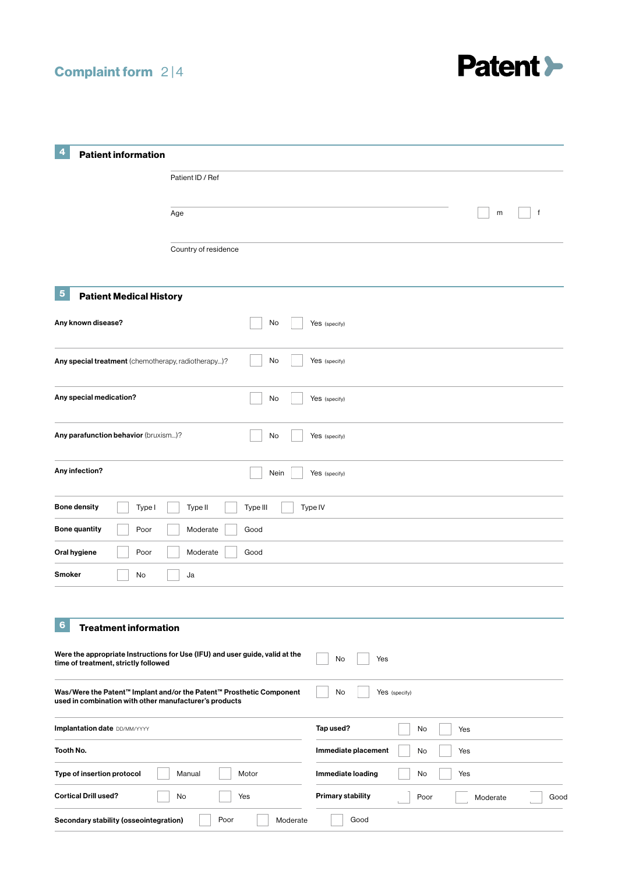## Complaint form 2 |4



| 4                                                                                      |                                                                              |                          |                          |
|----------------------------------------------------------------------------------------|------------------------------------------------------------------------------|--------------------------|--------------------------|
| <b>Patient information</b>                                                             |                                                                              |                          |                          |
|                                                                                        | Patient ID / Ref                                                             |                          |                          |
|                                                                                        |                                                                              |                          | m<br>f                   |
|                                                                                        | Age                                                                          |                          |                          |
|                                                                                        | Country of residence                                                         |                          |                          |
| $\overline{\mathbf{5}}$<br><b>Patient Medical History</b>                              |                                                                              |                          |                          |
| Any known disease?                                                                     | No                                                                           | Yes (specify)            |                          |
| Any special treatment (chemotherapy, radiotherapy)?                                    | No                                                                           | Yes (specify)            |                          |
| Any special medication?                                                                | No                                                                           | Yes (specify)            |                          |
| Any parafunction behavior (bruxism)?                                                   | No                                                                           | Yes (specify)            |                          |
| Any infection?                                                                         | Nein                                                                         | Yes (specify)            |                          |
| <b>Bone density</b><br>Type I                                                          | Type III<br>Type II                                                          | Type IV                  |                          |
| <b>Bone quantity</b><br>Poor                                                           | Moderate<br>Good                                                             |                          |                          |
| Poor<br>Oral hygiene                                                                   | Moderate<br>Good                                                             |                          |                          |
| Smoker<br>No                                                                           | Ja                                                                           |                          |                          |
| $6\phantom{a}$<br><b>Treatment information</b><br>time of treatment, strictly followed | Were the appropriate Instructions for Use (IFU) and user guide, valid at the | No<br>Yes                |                          |
| used in combination with other manufacturer's products                                 | Was/Were the Patent™ Implant and/or the Patent™ Prosthetic Component         | No<br>Yes (specify)      |                          |
| <b>Implantation date DD/MM/YYYY</b>                                                    |                                                                              | Tap used?                | No<br>Yes                |
| Tooth No.                                                                              |                                                                              | Immediate placement      | No<br>Yes                |
| Type of insertion protocol                                                             | Manual<br>Motor                                                              | Immediate loading        | No<br>Yes                |
| <b>Cortical Drill used?</b>                                                            | No<br>Yes                                                                    | <b>Primary stability</b> | Poor<br>Moderate<br>Gooc |
| Secondary stability (osseointegration)                                                 | Poor<br>Moderate                                                             | Good                     |                          |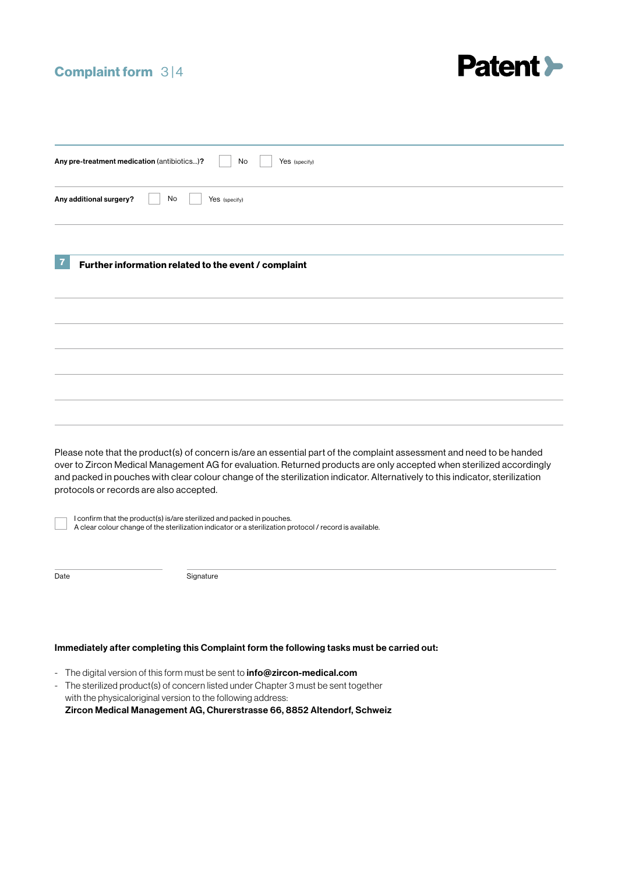#### Complaint form 3|4



| Any pre-treatment medication (antibiotics)?<br>No<br>Yes (specify)                                                                                                                                                                                                                                                                                                                                                        |
|---------------------------------------------------------------------------------------------------------------------------------------------------------------------------------------------------------------------------------------------------------------------------------------------------------------------------------------------------------------------------------------------------------------------------|
| Any additional surgery?<br>No<br>Yes (specify)                                                                                                                                                                                                                                                                                                                                                                            |
|                                                                                                                                                                                                                                                                                                                                                                                                                           |
| 7<br>Further information related to the event / complaint                                                                                                                                                                                                                                                                                                                                                                 |
|                                                                                                                                                                                                                                                                                                                                                                                                                           |
|                                                                                                                                                                                                                                                                                                                                                                                                                           |
|                                                                                                                                                                                                                                                                                                                                                                                                                           |
|                                                                                                                                                                                                                                                                                                                                                                                                                           |
|                                                                                                                                                                                                                                                                                                                                                                                                                           |
| Please note that the product(s) of concern is/are an essential part of the complaint assessment and need to be handed<br>over to Zircon Medical Management AG for evaluation. Returned products are only accepted when sterilized accordingly<br>and packed in pouches with clear colour change of the sterilization indicator. Alternatively to this indicator, sterilization<br>protocols or records are also accepted. |
| I confirm that the product(s) is/are sterilized and packed in pouches.<br>A clear colour change of the sterilization indicator or a sterilization protocol / record is available.                                                                                                                                                                                                                                         |
| Date<br>Signature                                                                                                                                                                                                                                                                                                                                                                                                         |
|                                                                                                                                                                                                                                                                                                                                                                                                                           |
| Immediately after completing this Complaint form the following tasks must be carried out:                                                                                                                                                                                                                                                                                                                                 |

- The digital version of this form must be sent to **info@zircon-medical.com**
- The sterilized product(s) of concern listed under Chapter 3 must be sent together with the physicaloriginal version to the following address:

Zircon Medical Management AG, Churerstrasse 66, 8852 Altendorf, Schweiz